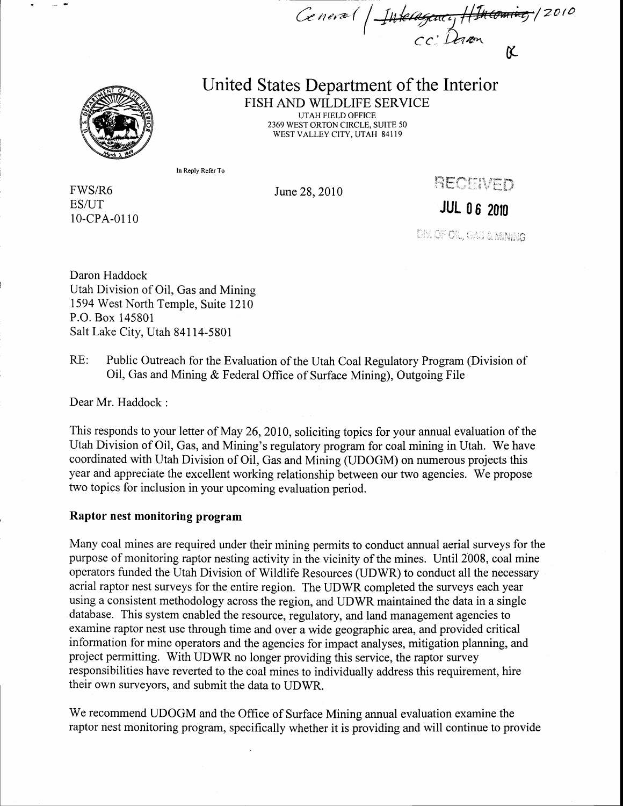Ceneva (†  $\begin{pmatrix} 1 \\ 1 \end{pmatrix}$  $1/2010$ cc: Dam K



## United States Department of the Interior FISH AND WILDLIFE SERVICE

UTAH FIELD OFFICE 2369 WEST ORTON CIRCLE, SUITE 50 WEST VALLEY CITY. UTAH 84119

In Reply Refer To

FWS/R6 ES/UT 10-cPA-0110 June 28,2010

RECENED

JUL 0 6 20f0

**CIV. OF OIL, GAS & MINIMA** 

Daron Haddock Utah Division of Oil, Gas and Mining 1594 West North Temple, Suite l2l0 P.O. Box 145801 Salt Lake City, Utah 841 14-5801

RE: Public Outreach for the Evaluation of the Utah Coal Regulatory Program (Division of Oil, Gas and Mining & Federal Office of Surface Mining), Outgoing File

Dear Mr. Haddock :

This responds to your letter of May 26,2010, soliciting topics for your annual evaluation of the Utah Division of Oil, Gas, and Mining's regulatory program for coal mining in Utah. We have coordinated with Utah Division of Oil, Gas and Mining (UDOGM) on numerous projects this year and appreciate the excellent working relationship between our two agencies. We propose two topics for inclusion in your upcoming evaluation period.

## Raptor nest monitoring program

Many coal mines are required under their mining permits to conduct annual aerial surveys for the purpose of monitoring raptor nesting activity in the vicinity of the mines. Until 2008, coal mine operators funded the Utah Division of Wildlife Resources (UDWR) to conduct all the necessary aerial raptor nest surveys for the entire region. The UDWR completed the surveys each year using a consistent methodology across the region, and UDWR maintained the data in a single database. This system enabled the resource, regulatory, and land management agencies to examine raptor nest use through time and over a wide geographic area, and provided critical information for mine operators and the agencies for impact analyses, mitigation planning, and project permitting. With UDWR no longer providing this service, the raptor survey responsibilities have reverted to the coal mines to individually address this requirement, hire their own surveyors, and submit the data to UDWR.

We recommend UDOGM and the Office of Surface Mining annual evaluation examine the raptor nest monitoring program, specifically whether it is providing and will continue to provide